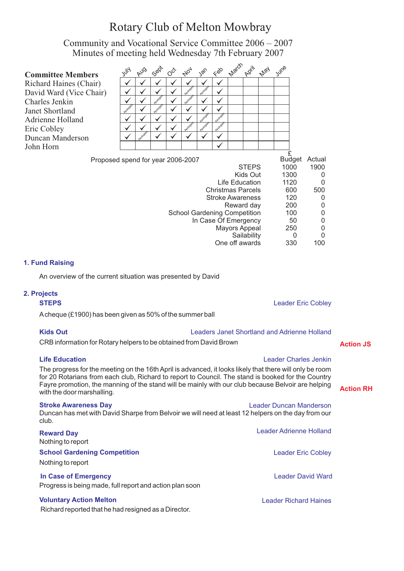# Rotary Club of Melton Mowbray

Community and Vocational Service Committee 2006 – 2007 Minutes of meeting held Wednesday 7th February 2007

| <b>Committee Members</b><br>Richard Haines (Chair)<br>David Ward (Vice Chair)<br>Charles Jenkin<br>Janet Shortland<br><b>Adrienne Holland</b><br>Eric Cobley<br>Duncan Manderson<br>John Horn<br>Proposed spend for year 2006-2007                                                                                                                                                                          | $\bar{z}_{2}$                                | Aug | Sept | $Q^{\check{C}^{\check{C}}}$ | $A_{0_{7}}$                         | $\mathbb{Z}_{\mathbb{Z}}$ | 480<br>$\checkmark$<br><b>pologie</b>                                       | March                                                                  | <b>Agril</b>                            | May | Iune |                                                                           | Budget Actual                                              |                  |
|-------------------------------------------------------------------------------------------------------------------------------------------------------------------------------------------------------------------------------------------------------------------------------------------------------------------------------------------------------------------------------------------------------------|----------------------------------------------|-----|------|-----------------------------|-------------------------------------|---------------------------|-----------------------------------------------------------------------------|------------------------------------------------------------------------|-----------------------------------------|-----|------|---------------------------------------------------------------------------|------------------------------------------------------------|------------------|
|                                                                                                                                                                                                                                                                                                                                                                                                             |                                              |     |      |                             | <b>School Gardening Competition</b> |                           | <b>Christmas Parcels</b><br><b>Stroke Awareness</b><br>In Case Of Emergency | Life Education<br>Reward day<br><b>Mayors Appeal</b><br>One off awards | <b>STEPS</b><br>Kids Out<br>Sailability |     |      | 1000<br>1300<br>1120<br>600<br>120<br>200<br>100<br>50<br>250<br>0<br>330 | 1900<br>0<br>0<br>500<br>0<br>0<br>0<br>0<br>0<br>0<br>100 |                  |
| 1. Fund Raising                                                                                                                                                                                                                                                                                                                                                                                             |                                              |     |      |                             |                                     |                           |                                                                             |                                                                        |                                         |     |      |                                                                           |                                                            |                  |
| An overview of the current situation was presented by David                                                                                                                                                                                                                                                                                                                                                 |                                              |     |      |                             |                                     |                           |                                                                             |                                                                        |                                         |     |      |                                                                           |                                                            |                  |
| 2. Projects<br><b>STEPS</b><br><b>Leader Eric Cobley</b><br>A cheque (£1900) has been given as 50% of the summer ball                                                                                                                                                                                                                                                                                       |                                              |     |      |                             |                                     |                           |                                                                             |                                                                        |                                         |     |      |                                                                           |                                                            |                  |
| <b>Kids Out</b>                                                                                                                                                                                                                                                                                                                                                                                             | Leaders Janet Shortland and Adrienne Holland |     |      |                             |                                     |                           |                                                                             |                                                                        |                                         |     |      |                                                                           |                                                            |                  |
| CRB information for Rotary helpers to be obtained from David Brown                                                                                                                                                                                                                                                                                                                                          |                                              |     |      |                             |                                     |                           |                                                                             |                                                                        |                                         |     |      |                                                                           |                                                            | <b>Action JS</b> |
| <b>Life Education</b><br><b>Leader Charles Jenkin</b><br>The progress for the meeting on the 16th April is advanced, it looks likely that there will only be room<br>for 20 Rotarians from each club, Richard to report to Council. The stand is booked for the Country<br>Fayre promotion, the manning of the stand will be mainly with our club because Belvoir are helping<br>with the door marshalling. |                                              |     |      |                             |                                     |                           |                                                                             |                                                                        |                                         |     |      | <b>Action RH</b>                                                          |                                                            |                  |
| <b>Stroke Awareness Day</b><br><b>Leader Duncan Manderson</b><br>Duncan has met with David Sharpe from Belvoir we will need at least 12 helpers on the day from our<br>club.                                                                                                                                                                                                                                |                                              |     |      |                             |                                     |                           |                                                                             |                                                                        |                                         |     |      |                                                                           |                                                            |                  |
| <b>Reward Day</b><br>Nothing to report                                                                                                                                                                                                                                                                                                                                                                      | <b>Leader Adrienne Holland</b>               |     |      |                             |                                     |                           |                                                                             |                                                                        |                                         |     |      |                                                                           |                                                            |                  |
| <b>School Gardening Competition</b><br>Nothing to report                                                                                                                                                                                                                                                                                                                                                    |                                              |     |      |                             |                                     |                           |                                                                             |                                                                        |                                         |     |      |                                                                           | <b>Leader Eric Cobley</b>                                  |                  |
| <b>In Case of Emergency</b><br>Progress is being made, full report and action plan soon                                                                                                                                                                                                                                                                                                                     |                                              |     |      |                             |                                     |                           |                                                                             |                                                                        |                                         |     |      |                                                                           | <b>Leader David Ward</b>                                   |                  |
| <b>Voluntary Action Melton</b>                                                                                                                                                                                                                                                                                                                                                                              |                                              |     |      |                             |                                     |                           |                                                                             |                                                                        |                                         |     |      |                                                                           | <b>Leader Richard Haines</b>                               |                  |

Richard reported that he had resigned as a Director.